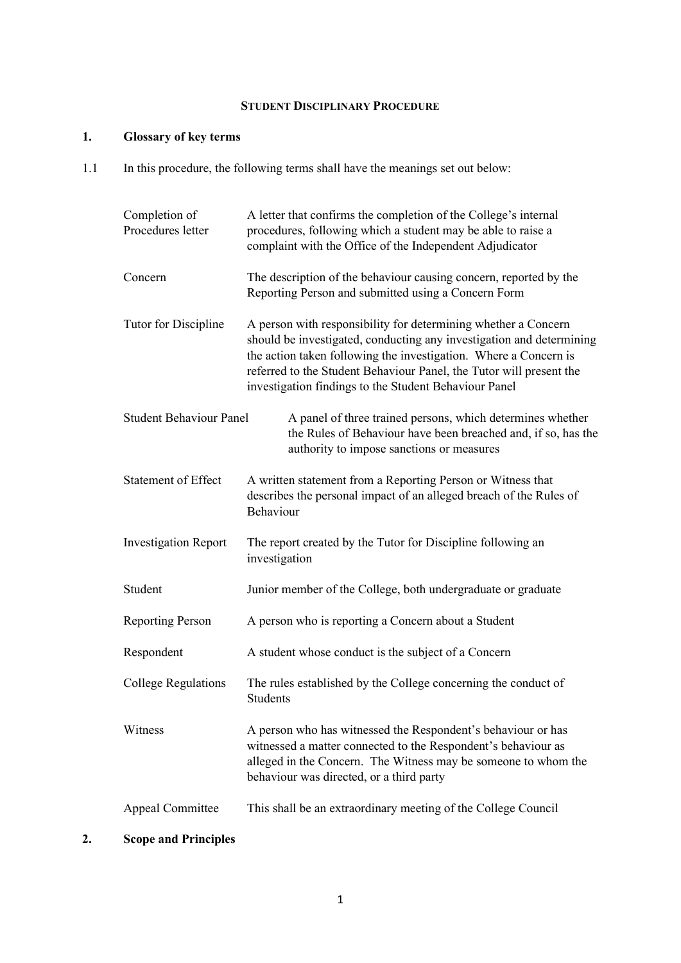## **STUDENT DISCIPLINARY PROCEDURE**

## **1. Glossary of key terms**

1.1 In this procedure, the following terms shall have the meanings set out below:

| Completion of<br>Procedures letter | A letter that confirms the completion of the College's internal<br>procedures, following which a student may be able to raise a<br>complaint with the Office of the Independent Adjudicator                                                                                                                                                |
|------------------------------------|--------------------------------------------------------------------------------------------------------------------------------------------------------------------------------------------------------------------------------------------------------------------------------------------------------------------------------------------|
| Concern                            | The description of the behaviour causing concern, reported by the<br>Reporting Person and submitted using a Concern Form                                                                                                                                                                                                                   |
| Tutor for Discipline               | A person with responsibility for determining whether a Concern<br>should be investigated, conducting any investigation and determining<br>the action taken following the investigation. Where a Concern is<br>referred to the Student Behaviour Panel, the Tutor will present the<br>investigation findings to the Student Behaviour Panel |
| <b>Student Behaviour Panel</b>     | A panel of three trained persons, which determines whether<br>the Rules of Behaviour have been breached and, if so, has the<br>authority to impose sanctions or measures                                                                                                                                                                   |
| <b>Statement of Effect</b>         | A written statement from a Reporting Person or Witness that<br>describes the personal impact of an alleged breach of the Rules of<br>Behaviour                                                                                                                                                                                             |
| <b>Investigation Report</b>        | The report created by the Tutor for Discipline following an<br>investigation                                                                                                                                                                                                                                                               |
| Student                            | Junior member of the College, both undergraduate or graduate                                                                                                                                                                                                                                                                               |
| <b>Reporting Person</b>            | A person who is reporting a Concern about a Student                                                                                                                                                                                                                                                                                        |
| Respondent                         | A student whose conduct is the subject of a Concern                                                                                                                                                                                                                                                                                        |
| <b>College Regulations</b>         | The rules established by the College concerning the conduct of<br>Students                                                                                                                                                                                                                                                                 |
| Witness                            | A person who has witnessed the Respondent's behaviour or has<br>witnessed a matter connected to the Respondent's behaviour as<br>alleged in the Concern. The Witness may be someone to whom the<br>behaviour was directed, or a third party                                                                                                |
| <b>Appeal Committee</b>            | This shall be an extraordinary meeting of the College Council                                                                                                                                                                                                                                                                              |

# **2. Scope and Principles**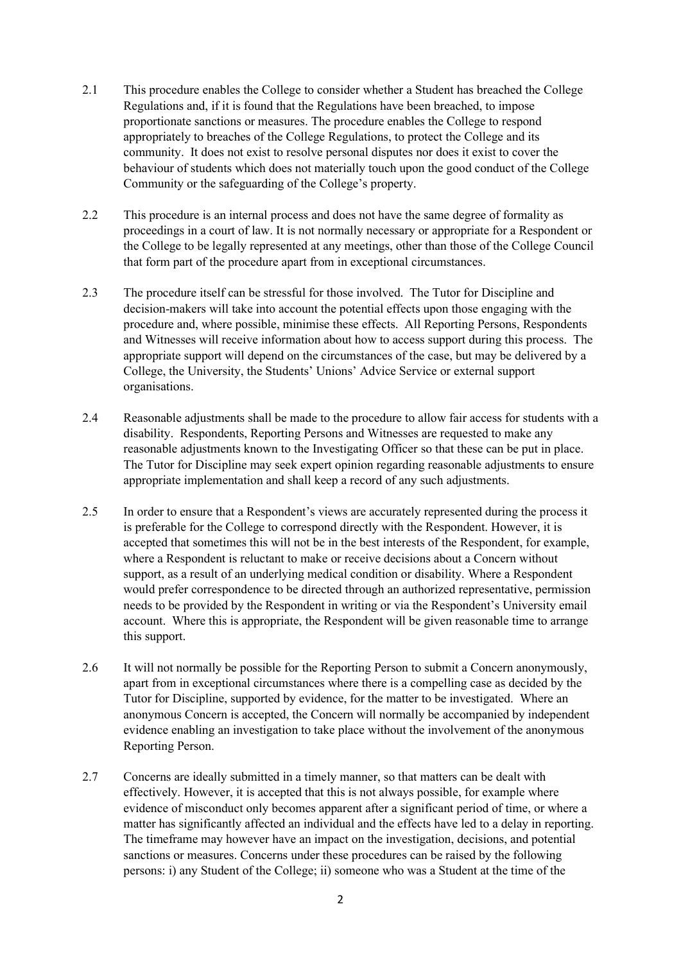- 2.1 This procedure enables the College to consider whether a Student has breached the College Regulations and, if it is found that the Regulations have been breached, to impose proportionate sanctions or measures. The procedure enables the College to respond appropriately to breaches of the College Regulations, to protect the College and its community. It does not exist to resolve personal disputes nor does it exist to cover the behaviour of students which does not materially touch upon the good conduct of the College Community or the safeguarding of the College's property.
- 2.2 This procedure is an internal process and does not have the same degree of formality as proceedings in a court of law. It is not normally necessary or appropriate for a Respondent or the College to be legally represented at any meetings, other than those of the College Council that form part of the procedure apart from in exceptional circumstances.
- 2.3 The procedure itself can be stressful for those involved. The Tutor for Discipline and decision-makers will take into account the potential effects upon those engaging with the procedure and, where possible, minimise these effects. All Reporting Persons, Respondents and Witnesses will receive information about how to access support during this process. The appropriate support will depend on the circumstances of the case, but may be delivered by a College, the University, the Students' Unions' Advice Service or external support organisations.
- 2.4 Reasonable adjustments shall be made to the procedure to allow fair access for students with a disability. Respondents, Reporting Persons and Witnesses are requested to make any reasonable adjustments known to the Investigating Officer so that these can be put in place. The Tutor for Discipline may seek expert opinion regarding reasonable adjustments to ensure appropriate implementation and shall keep a record of any such adjustments.
- 2.5 In order to ensure that a Respondent's views are accurately represented during the process it is preferable for the College to correspond directly with the Respondent. However, it is accepted that sometimes this will not be in the best interests of the Respondent, for example, where a Respondent is reluctant to make or receive decisions about a Concern without support, as a result of an underlying medical condition or disability. Where a Respondent would prefer correspondence to be directed through an authorized representative, permission needs to be provided by the Respondent in writing or via the Respondent's University email account. Where this is appropriate, the Respondent will be given reasonable time to arrange this support.
- 2.6 It will not normally be possible for the Reporting Person to submit a Concern anonymously, apart from in exceptional circumstances where there is a compelling case as decided by the Tutor for Discipline, supported by evidence, for the matter to be investigated. Where an anonymous Concern is accepted, the Concern will normally be accompanied by independent evidence enabling an investigation to take place without the involvement of the anonymous Reporting Person.
- 2.7 Concerns are ideally submitted in a timely manner, so that matters can be dealt with effectively. However, it is accepted that this is not always possible, for example where evidence of misconduct only becomes apparent after a significant period of time, or where a matter has significantly affected an individual and the effects have led to a delay in reporting. The timeframe may however have an impact on the investigation, decisions, and potential sanctions or measures. Concerns under these procedures can be raised by the following persons: i) any Student of the College; ii) someone who was a Student at the time of the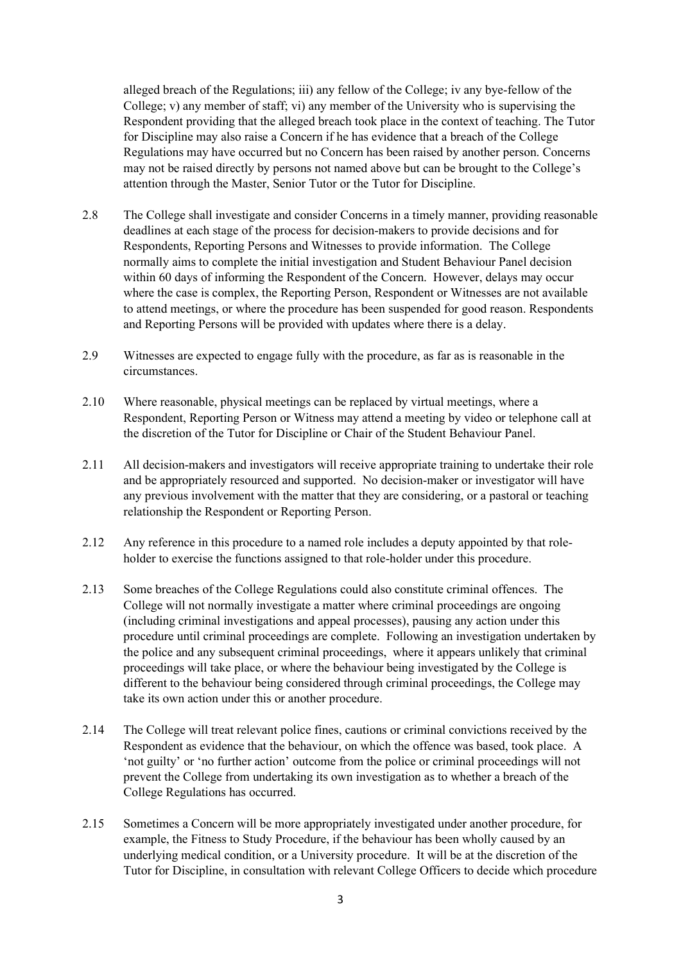alleged breach of the Regulations; iii) any fellow of the College; iv any bye-fellow of the College; v) any member of staff; vi) any member of the University who is supervising the Respondent providing that the alleged breach took place in the context of teaching. The Tutor for Discipline may also raise a Concern if he has evidence that a breach of the College Regulations may have occurred but no Concern has been raised by another person. Concerns may not be raised directly by persons not named above but can be brought to the College's attention through the Master, Senior Tutor or the Tutor for Discipline.

- 2.8 The College shall investigate and consider Concerns in a timely manner, providing reasonable deadlines at each stage of the process for decision-makers to provide decisions and for Respondents, Reporting Persons and Witnesses to provide information. The College normally aims to complete the initial investigation and Student Behaviour Panel decision within 60 days of informing the Respondent of the Concern. However, delays may occur where the case is complex, the Reporting Person, Respondent or Witnesses are not available to attend meetings, or where the procedure has been suspended for good reason. Respondents and Reporting Persons will be provided with updates where there is a delay.
- 2.9 Witnesses are expected to engage fully with the procedure, as far as is reasonable in the circumstances.
- 2.10 Where reasonable, physical meetings can be replaced by virtual meetings, where a Respondent, Reporting Person or Witness may attend a meeting by video or telephone call at the discretion of the Tutor for Discipline or Chair of the Student Behaviour Panel.
- 2.11 All decision-makers and investigators will receive appropriate training to undertake their role and be appropriately resourced and supported. No decision-maker or investigator will have any previous involvement with the matter that they are considering, or a pastoral or teaching relationship the Respondent or Reporting Person.
- 2.12 Any reference in this procedure to a named role includes a deputy appointed by that roleholder to exercise the functions assigned to that role-holder under this procedure.
- 2.13 Some breaches of the College Regulations could also constitute criminal offences. The College will not normally investigate a matter where criminal proceedings are ongoing (including criminal investigations and appeal processes), pausing any action under this procedure until criminal proceedings are complete. Following an investigation undertaken by the police and any subsequent criminal proceedings, where it appears unlikely that criminal proceedings will take place, or where the behaviour being investigated by the College is different to the behaviour being considered through criminal proceedings, the College may take its own action under this or another procedure.
- 2.14 The College will treat relevant police fines, cautions or criminal convictions received by the Respondent as evidence that the behaviour, on which the offence was based, took place. A 'not guilty' or 'no further action' outcome from the police or criminal proceedings will not prevent the College from undertaking its own investigation as to whether a breach of the College Regulations has occurred.
- 2.15 Sometimes a Concern will be more appropriately investigated under another procedure, for example, the Fitness to Study Procedure, if the behaviour has been wholly caused by an underlying medical condition, or a University procedure. It will be at the discretion of the Tutor for Discipline, in consultation with relevant College Officers to decide which procedure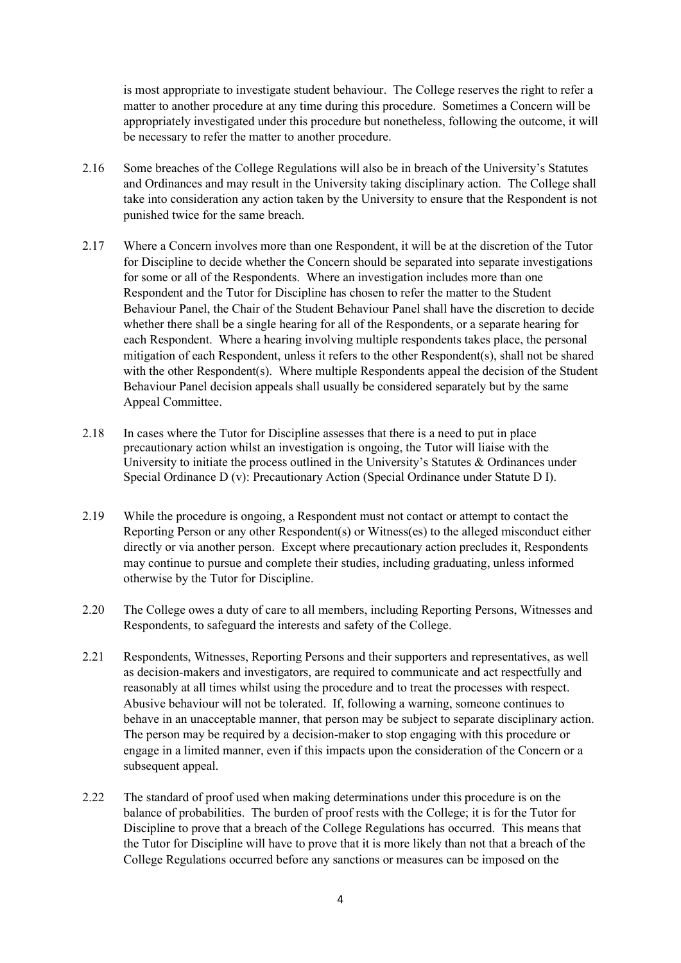is most appropriate to investigate student behaviour. The College reserves the right to refer a matter to another procedure at any time during this procedure. Sometimes a Concern will be appropriately investigated under this procedure but nonetheless, following the outcome, it will be necessary to refer the matter to another procedure.

- 2.16 Some breaches of the College Regulations will also be in breach of the University's Statutes and Ordinances and may result in the University taking disciplinary action. The College shall take into consideration any action taken by the University to ensure that the Respondent is not punished twice for the same breach.
- 2.17 Where a Concern involves more than one Respondent, it will be at the discretion of the Tutor for Discipline to decide whether the Concern should be separated into separate investigations for some or all of the Respondents. Where an investigation includes more than one Respondent and the Tutor for Discipline has chosen to refer the matter to the Student Behaviour Panel, the Chair of the Student Behaviour Panel shall have the discretion to decide whether there shall be a single hearing for all of the Respondents, or a separate hearing for each Respondent. Where a hearing involving multiple respondents takes place, the personal mitigation of each Respondent, unless it refers to the other Respondent(s), shall not be shared with the other Respondent(s). Where multiple Respondents appeal the decision of the Student Behaviour Panel decision appeals shall usually be considered separately but by the same Appeal Committee.
- 2.18 In cases where the Tutor for Discipline assesses that there is a need to put in place precautionary action whilst an investigation is ongoing, the Tutor will liaise with the University to initiate the process outlined in the University's Statutes & Ordinances under Special Ordinance D (v): Precautionary Action (Special Ordinance under Statute D I).
- 2.19 While the procedure is ongoing, a Respondent must not contact or attempt to contact the Reporting Person or any other Respondent(s) or Witness(es) to the alleged misconduct either directly or via another person. Except where precautionary action precludes it, Respondents may continue to pursue and complete their studies, including graduating, unless informed otherwise by the Tutor for Discipline.
- 2.20 The College owes a duty of care to all members, including Reporting Persons, Witnesses and Respondents, to safeguard the interests and safety of the College.
- 2.21 Respondents, Witnesses, Reporting Persons and their supporters and representatives, as well as decision-makers and investigators, are required to communicate and act respectfully and reasonably at all times whilst using the procedure and to treat the processes with respect. Abusive behaviour will not be tolerated. If, following a warning, someone continues to behave in an unacceptable manner, that person may be subject to separate disciplinary action. The person may be required by a decision-maker to stop engaging with this procedure or engage in a limited manner, even if this impacts upon the consideration of the Concern or a subsequent appeal.
- 2.22 The standard of proof used when making determinations under this procedure is on the balance of probabilities. The burden of proof rests with the College; it is for the Tutor for Discipline to prove that a breach of the College Regulations has occurred. This means that the Tutor for Discipline will have to prove that it is more likely than not that a breach of the College Regulations occurred before any sanctions or measures can be imposed on the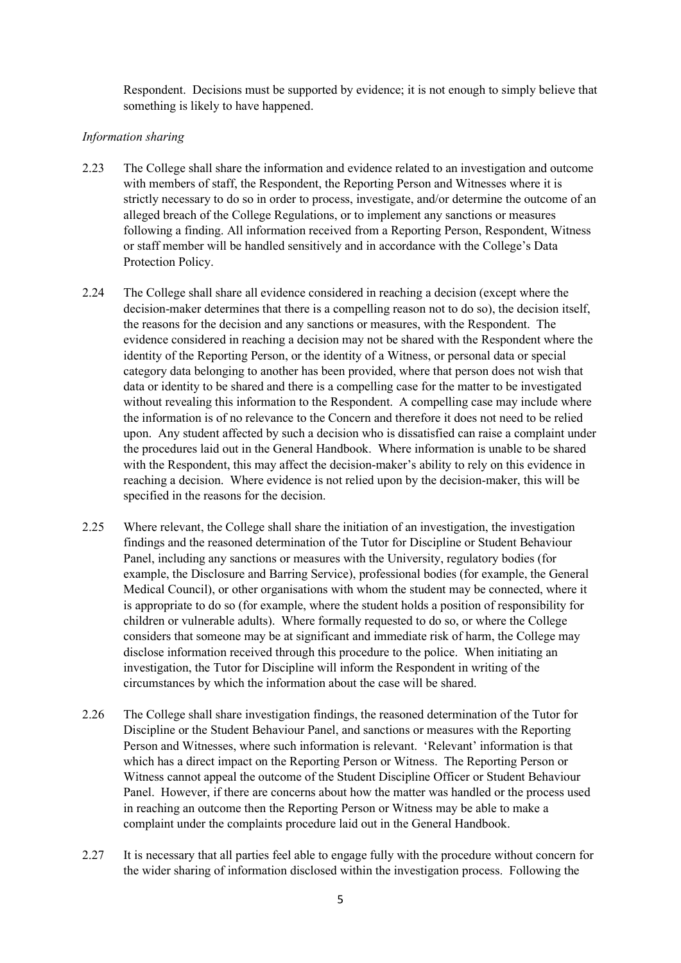Respondent. Decisions must be supported by evidence; it is not enough to simply believe that something is likely to have happened.

#### *Information sharing*

- 2.23 The College shall share the information and evidence related to an investigation and outcome with members of staff, the Respondent, the Reporting Person and Witnesses where it is strictly necessary to do so in order to process, investigate, and/or determine the outcome of an alleged breach of the College Regulations, or to implement any sanctions or measures following a finding. All information received from a Reporting Person, Respondent, Witness or staff member will be handled sensitively and in accordance with the College's Data Protection Policy.
- 2.24 The College shall share all evidence considered in reaching a decision (except where the decision-maker determines that there is a compelling reason not to do so), the decision itself, the reasons for the decision and any sanctions or measures, with the Respondent. The evidence considered in reaching a decision may not be shared with the Respondent where the identity of the Reporting Person, or the identity of a Witness, or personal data or special category data belonging to another has been provided, where that person does not wish that data or identity to be shared and there is a compelling case for the matter to be investigated without revealing this information to the Respondent. A compelling case may include where the information is of no relevance to the Concern and therefore it does not need to be relied upon. Any student affected by such a decision who is dissatisfied can raise a complaint under the procedures laid out in the General Handbook. Where information is unable to be shared with the Respondent, this may affect the decision-maker's ability to rely on this evidence in reaching a decision. Where evidence is not relied upon by the decision-maker, this will be specified in the reasons for the decision.
- 2.25 Where relevant, the College shall share the initiation of an investigation, the investigation findings and the reasoned determination of the Tutor for Discipline or Student Behaviour Panel, including any sanctions or measures with the University, regulatory bodies (for example, the Disclosure and Barring Service), professional bodies (for example, the General Medical Council), or other organisations with whom the student may be connected, where it is appropriate to do so (for example, where the student holds a position of responsibility for children or vulnerable adults). Where formally requested to do so, or where the College considers that someone may be at significant and immediate risk of harm, the College may disclose information received through this procedure to the police. When initiating an investigation, the Tutor for Discipline will inform the Respondent in writing of the circumstances by which the information about the case will be shared.
- 2.26 The College shall share investigation findings, the reasoned determination of the Tutor for Discipline or the Student Behaviour Panel, and sanctions or measures with the Reporting Person and Witnesses, where such information is relevant. 'Relevant' information is that which has a direct impact on the Reporting Person or Witness. The Reporting Person or Witness cannot appeal the outcome of the Student Discipline Officer or Student Behaviour Panel. However, if there are concerns about how the matter was handled or the process used in reaching an outcome then the Reporting Person or Witness may be able to make a complaint under the complaints procedure laid out in the General Handbook.
- 2.27 It is necessary that all parties feel able to engage fully with the procedure without concern for the wider sharing of information disclosed within the investigation process. Following the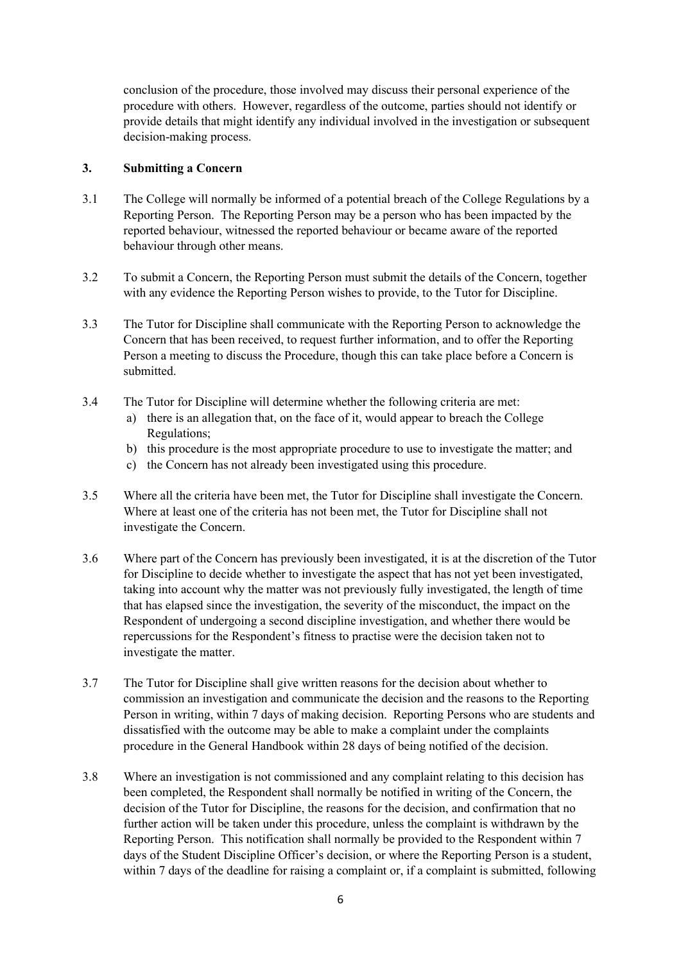conclusion of the procedure, those involved may discuss their personal experience of the procedure with others. However, regardless of the outcome, parties should not identify or provide details that might identify any individual involved in the investigation or subsequent decision-making process.

#### **3. Submitting a Concern**

- 3.1 The College will normally be informed of a potential breach of the College Regulations by a Reporting Person. The Reporting Person may be a person who has been impacted by the reported behaviour, witnessed the reported behaviour or became aware of the reported behaviour through other means.
- 3.2 To submit a Concern, the Reporting Person must submit the details of the Concern, together with any evidence the Reporting Person wishes to provide, to the Tutor for Discipline.
- 3.3 The Tutor for Discipline shall communicate with the Reporting Person to acknowledge the Concern that has been received, to request further information, and to offer the Reporting Person a meeting to discuss the Procedure, though this can take place before a Concern is submitted.
- 3.4 The Tutor for Discipline will determine whether the following criteria are met:
	- a) there is an allegation that, on the face of it, would appear to breach the College Regulations;
	- b) this procedure is the most appropriate procedure to use to investigate the matter; and
	- c) the Concern has not already been investigated using this procedure.
- 3.5 Where all the criteria have been met, the Tutor for Discipline shall investigate the Concern. Where at least one of the criteria has not been met, the Tutor for Discipline shall not investigate the Concern.
- 3.6 Where part of the Concern has previously been investigated, it is at the discretion of the Tutor for Discipline to decide whether to investigate the aspect that has not yet been investigated, taking into account why the matter was not previously fully investigated, the length of time that has elapsed since the investigation, the severity of the misconduct, the impact on the Respondent of undergoing a second discipline investigation, and whether there would be repercussions for the Respondent's fitness to practise were the decision taken not to investigate the matter.
- 3.7 The Tutor for Discipline shall give written reasons for the decision about whether to commission an investigation and communicate the decision and the reasons to the Reporting Person in writing, within 7 days of making decision. Reporting Persons who are students and dissatisfied with the outcome may be able to make a complaint under the complaints procedure in the General Handbook within 28 days of being notified of the decision.
- 3.8 Where an investigation is not commissioned and any complaint relating to this decision has been completed, the Respondent shall normally be notified in writing of the Concern, the decision of the Tutor for Discipline, the reasons for the decision, and confirmation that no further action will be taken under this procedure, unless the complaint is withdrawn by the Reporting Person. This notification shall normally be provided to the Respondent within 7 days of the Student Discipline Officer's decision, or where the Reporting Person is a student, within 7 days of the deadline for raising a complaint or, if a complaint is submitted, following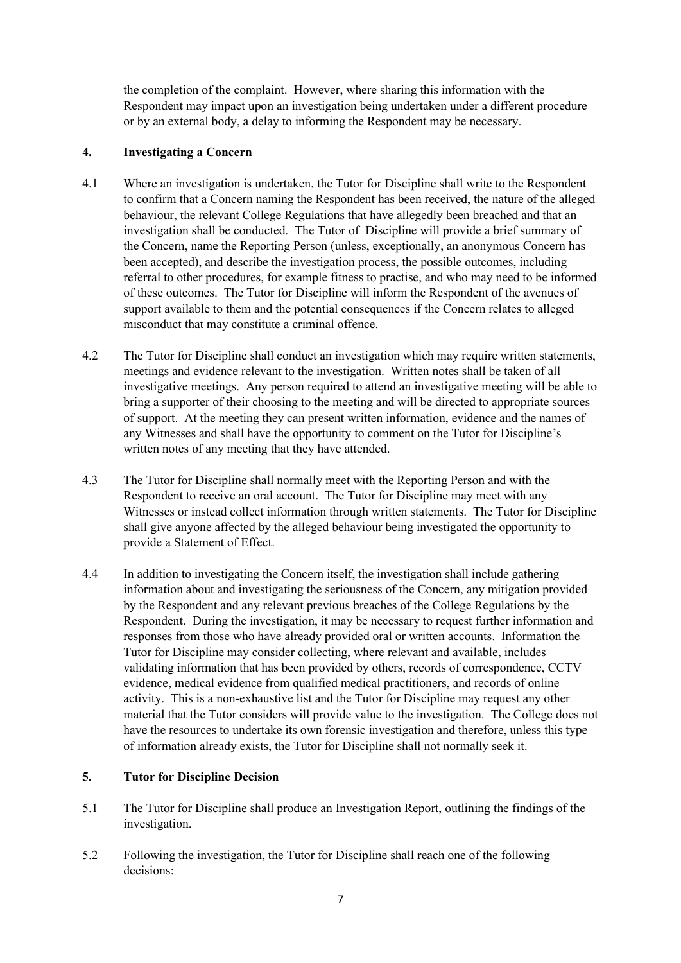the completion of the complaint. However, where sharing this information with the Respondent may impact upon an investigation being undertaken under a different procedure or by an external body, a delay to informing the Respondent may be necessary.

#### **4. Investigating a Concern**

- 4.1 Where an investigation is undertaken, the Tutor for Discipline shall write to the Respondent to confirm that a Concern naming the Respondent has been received, the nature of the alleged behaviour, the relevant College Regulations that have allegedly been breached and that an investigation shall be conducted. The Tutor of Discipline will provide a brief summary of the Concern, name the Reporting Person (unless, exceptionally, an anonymous Concern has been accepted), and describe the investigation process, the possible outcomes, including referral to other procedures, for example fitness to practise, and who may need to be informed of these outcomes. The Tutor for Discipline will inform the Respondent of the avenues of support available to them and the potential consequences if the Concern relates to alleged misconduct that may constitute a criminal offence.
- 4.2 The Tutor for Discipline shall conduct an investigation which may require written statements, meetings and evidence relevant to the investigation. Written notes shall be taken of all investigative meetings. Any person required to attend an investigative meeting will be able to bring a supporter of their choosing to the meeting and will be directed to appropriate sources of support. At the meeting they can present written information, evidence and the names of any Witnesses and shall have the opportunity to comment on the Tutor for Discipline's written notes of any meeting that they have attended.
- 4.3 The Tutor for Discipline shall normally meet with the Reporting Person and with the Respondent to receive an oral account. The Tutor for Discipline may meet with any Witnesses or instead collect information through written statements. The Tutor for Discipline shall give anyone affected by the alleged behaviour being investigated the opportunity to provide a Statement of Effect.
- 4.4 In addition to investigating the Concern itself, the investigation shall include gathering information about and investigating the seriousness of the Concern, any mitigation provided by the Respondent and any relevant previous breaches of the College Regulations by the Respondent. During the investigation, it may be necessary to request further information and responses from those who have already provided oral or written accounts. Information the Tutor for Discipline may consider collecting, where relevant and available, includes validating information that has been provided by others, records of correspondence, CCTV evidence, medical evidence from qualified medical practitioners, and records of online activity. This is a non-exhaustive list and the Tutor for Discipline may request any other material that the Tutor considers will provide value to the investigation. The College does not have the resources to undertake its own forensic investigation and therefore, unless this type of information already exists, the Tutor for Discipline shall not normally seek it.

#### **5. Tutor for Discipline Decision**

- 5.1 The Tutor for Discipline shall produce an Investigation Report, outlining the findings of the investigation.
- 5.2 Following the investigation, the Tutor for Discipline shall reach one of the following decisions: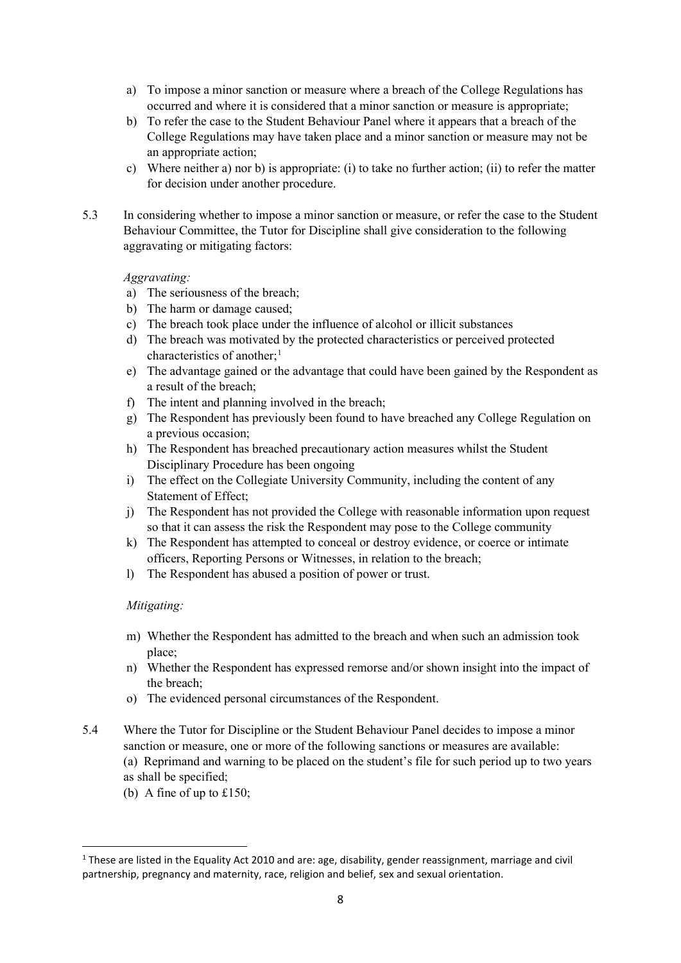- a) To impose a minor sanction or measure where a breach of the College Regulations has occurred and where it is considered that a minor sanction or measure is appropriate;
- b) To refer the case to the Student Behaviour Panel where it appears that a breach of the College Regulations may have taken place and a minor sanction or measure may not be an appropriate action;
- c) Where neither a) nor b) is appropriate: (i) to take no further action; (ii) to refer the matter for decision under another procedure.
- 5.3 In considering whether to impose a minor sanction or measure, or refer the case to the Student Behaviour Committee, the Tutor for Discipline shall give consideration to the following aggravating or mitigating factors:

#### *Aggravating:*

- a) The seriousness of the breach;
- b) The harm or damage caused;
- c) The breach took place under the influence of alcohol or illicit substances
- d) The breach was motivated by the protected characteristics or perceived protected characteristics of another;<sup>[1](#page-7-0)</sup>
- e) The advantage gained or the advantage that could have been gained by the Respondent as a result of the breach;
- f) The intent and planning involved in the breach;
- g) The Respondent has previously been found to have breached any College Regulation on a previous occasion;
- h) The Respondent has breached precautionary action measures whilst the Student Disciplinary Procedure has been ongoing
- i) The effect on the Collegiate University Community, including the content of any Statement of Effect;
- j) The Respondent has not provided the College with reasonable information upon request so that it can assess the risk the Respondent may pose to the College community
- k) The Respondent has attempted to conceal or destroy evidence, or coerce or intimate officers, Reporting Persons or Witnesses, in relation to the breach;
- l) The Respondent has abused a position of power or trust.

#### *Mitigating:*

- m) Whether the Respondent has admitted to the breach and when such an admission took place;
- n) Whether the Respondent has expressed remorse and/or shown insight into the impact of the breach;
- o) The evidenced personal circumstances of the Respondent.
- 5.4 Where the Tutor for Discipline or the Student Behaviour Panel decides to impose a minor sanction or measure, one or more of the following sanctions or measures are available: (a) Reprimand and warning to be placed on the student's file for such period up to two years
	- as shall be specified;
	- (b) A fine of up to £150;

<span id="page-7-0"></span><sup>&</sup>lt;sup>1</sup> These are listed in the Equality Act 2010 and are: age, disability, gender reassignment, marriage and civil partnership, pregnancy and maternity, race, religion and belief, sex and sexual orientation.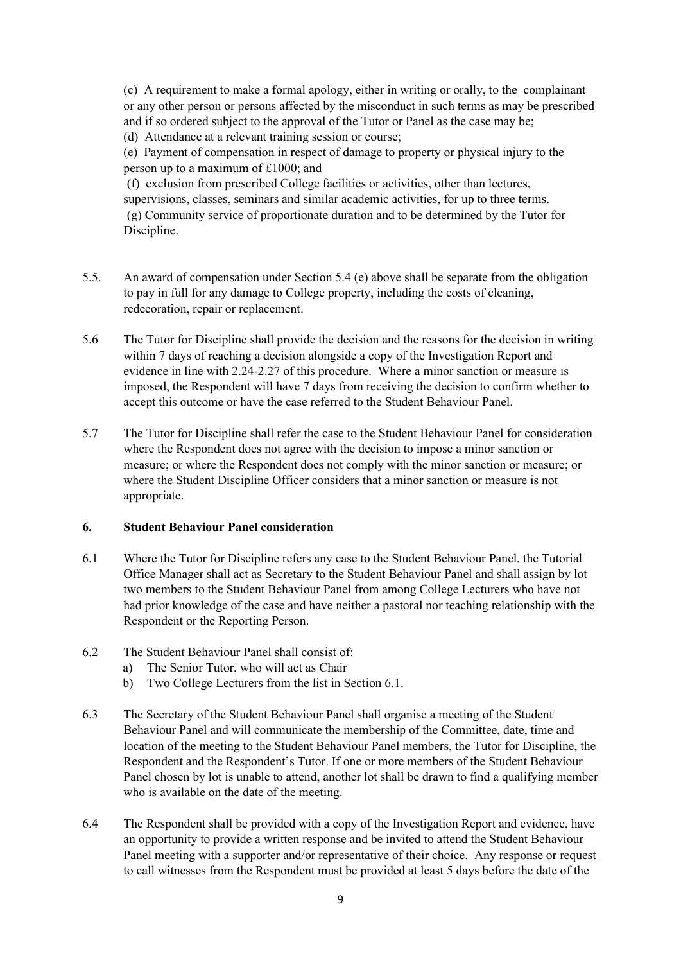(c) A requirement to make a formal apology, either in writing or orally, to the complainant or any other person or persons affected by the misconduct in such terms as may be prescribed and if so ordered subject to the approval of the Tutor or Panel as the case may be; (d) Attendance at a relevant training session or course;

(e) Payment of compensation in respect of damage to property or physical injury to the person up to a maximum of £1000; and

(f) exclusion from prescribed College facilities or activities, other than lectures, supervisions, classes, seminars and similar academic activities, for up to three terms. (g) Community service of proportionate duration and to be determined by the Tutor for Discipline.

- 5.5. An award of compensation under Section 5.4 (e) above shall be separate from the obligation to pay in full for any damage to College property, including the costs of cleaning, redecoration, repair or replacement.
- 5.6 The Tutor for Discipline shall provide the decision and the reasons for the decision in writing within 7 days of reaching a decision alongside a copy of the Investigation Report and evidence in line with 2.24-2.27 of this procedure. Where a minor sanction or measure is imposed, the Respondent will have 7 days from receiving the decision to confirm whether to accept this outcome or have the case referred to the Student Behaviour Panel.
- 5.7 The Tutor for Discipline shall refer the case to the Student Behaviour Panel for consideration where the Respondent does not agree with the decision to impose a minor sanction or measure; or where the Respondent does not comply with the minor sanction or measure; or where the Student Discipline Officer considers that a minor sanction or measure is not appropriate.

#### **6. Student Behaviour Panel consideration**

- 6.1 Where the Tutor for Discipline refers any case to the Student Behaviour Panel, the Tutorial Office Manager shall act as Secretary to the Student Behaviour Panel and shall assign by lot two members to the Student Behaviour Panel from among College Lecturers who have not had prior knowledge of the case and have neither a pastoral nor teaching relationship with the Respondent or the Reporting Person.
- 6.2 The Student Behaviour Panel shall consist of:
	- a) The Senior Tutor, who will act as Chair
	- b) Two College Lecturers from the list in Section 6.1.
- 6.3 The Secretary of the Student Behaviour Panel shall organise a meeting of the Student Behaviour Panel and will communicate the membership of the Committee, date, time and location of the meeting to the Student Behaviour Panel members, the Tutor for Discipline, the Respondent and the Respondent's Tutor. If one or more members of the Student Behaviour Panel chosen by lot is unable to attend, another lot shall be drawn to find a qualifying member who is available on the date of the meeting.
- 6.4 The Respondent shall be provided with a copy of the Investigation Report and evidence, have an opportunity to provide a written response and be invited to attend the Student Behaviour Panel meeting with a supporter and/or representative of their choice. Any response or request to call witnesses from the Respondent must be provided at least 5 days before the date of the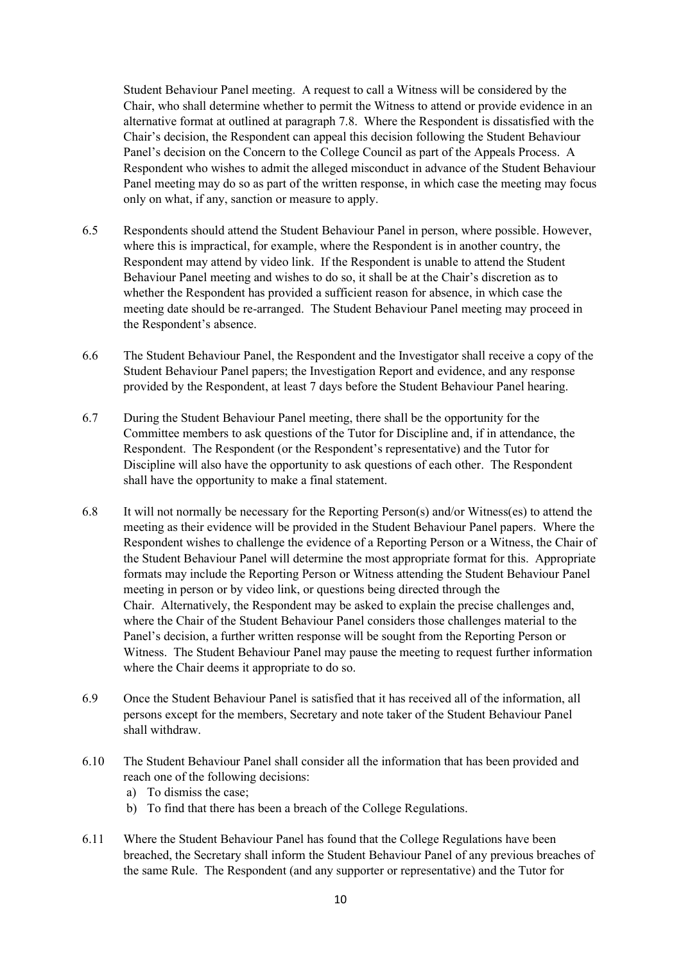Student Behaviour Panel meeting. A request to call a Witness will be considered by the Chair, who shall determine whether to permit the Witness to attend or provide evidence in an alternative format at outlined at paragraph 7.8. Where the Respondent is dissatisfied with the Chair's decision, the Respondent can appeal this decision following the Student Behaviour Panel's decision on the Concern to the College Council as part of the Appeals Process. A Respondent who wishes to admit the alleged misconduct in advance of the Student Behaviour Panel meeting may do so as part of the written response, in which case the meeting may focus only on what, if any, sanction or measure to apply.

- 6.5 Respondents should attend the Student Behaviour Panel in person, where possible. However, where this is impractical, for example, where the Respondent is in another country, the Respondent may attend by video link. If the Respondent is unable to attend the Student Behaviour Panel meeting and wishes to do so, it shall be at the Chair's discretion as to whether the Respondent has provided a sufficient reason for absence, in which case the meeting date should be re-arranged. The Student Behaviour Panel meeting may proceed in the Respondent's absence.
- 6.6 The Student Behaviour Panel, the Respondent and the Investigator shall receive a copy of the Student Behaviour Panel papers; the Investigation Report and evidence, and any response provided by the Respondent, at least 7 days before the Student Behaviour Panel hearing.
- 6.7 During the Student Behaviour Panel meeting, there shall be the opportunity for the Committee members to ask questions of the Tutor for Discipline and, if in attendance, the Respondent. The Respondent (or the Respondent's representative) and the Tutor for Discipline will also have the opportunity to ask questions of each other. The Respondent shall have the opportunity to make a final statement.
- 6.8 It will not normally be necessary for the Reporting Person(s) and/or Witness(es) to attend the meeting as their evidence will be provided in the Student Behaviour Panel papers. Where the Respondent wishes to challenge the evidence of a Reporting Person or a Witness, the Chair of the Student Behaviour Panel will determine the most appropriate format for this. Appropriate formats may include the Reporting Person or Witness attending the Student Behaviour Panel meeting in person or by video link, or questions being directed through the Chair. Alternatively, the Respondent may be asked to explain the precise challenges and, where the Chair of the Student Behaviour Panel considers those challenges material to the Panel's decision, a further written response will be sought from the Reporting Person or Witness. The Student Behaviour Panel may pause the meeting to request further information where the Chair deems it appropriate to do so.
- 6.9 Once the Student Behaviour Panel is satisfied that it has received all of the information, all persons except for the members, Secretary and note taker of the Student Behaviour Panel shall withdraw.
- 6.10 The Student Behaviour Panel shall consider all the information that has been provided and reach one of the following decisions:
	- a) To dismiss the case;
	- b) To find that there has been a breach of the College Regulations.
- 6.11 Where the Student Behaviour Panel has found that the College Regulations have been breached, the Secretary shall inform the Student Behaviour Panel of any previous breaches of the same Rule. The Respondent (and any supporter or representative) and the Tutor for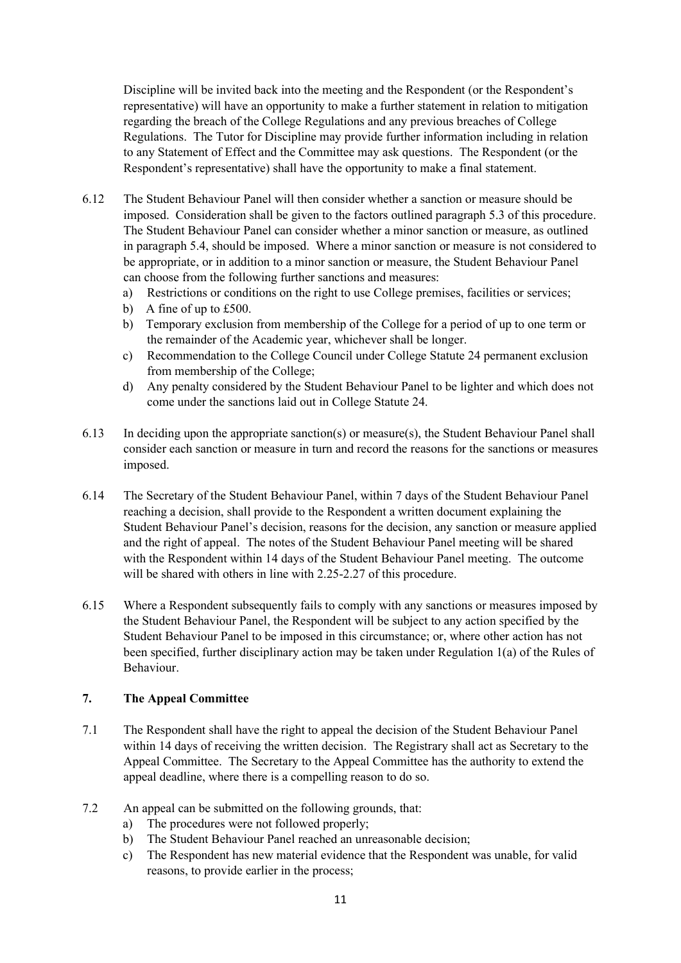Discipline will be invited back into the meeting and the Respondent (or the Respondent's representative) will have an opportunity to make a further statement in relation to mitigation regarding the breach of the College Regulations and any previous breaches of College Regulations. The Tutor for Discipline may provide further information including in relation to any Statement of Effect and the Committee may ask questions. The Respondent (or the Respondent's representative) shall have the opportunity to make a final statement.

- 6.12 The Student Behaviour Panel will then consider whether a sanction or measure should be imposed. Consideration shall be given to the factors outlined paragraph 5.3 of this procedure. The Student Behaviour Panel can consider whether a minor sanction or measure, as outlined in paragraph 5.4, should be imposed. Where a minor sanction or measure is not considered to be appropriate, or in addition to a minor sanction or measure, the Student Behaviour Panel can choose from the following further sanctions and measures:
	- a) Restrictions or conditions on the right to use College premises, facilities or services;
	- b) A fine of up to £500.
	- b) Temporary exclusion from membership of the College for a period of up to one term or the remainder of the Academic year, whichever shall be longer.
	- c) Recommendation to the College Council under College Statute 24 permanent exclusion from membership of the College;
	- d) Any penalty considered by the Student Behaviour Panel to be lighter and which does not come under the sanctions laid out in College Statute 24.
- 6.13 In deciding upon the appropriate sanction(s) or measure(s), the Student Behaviour Panel shall consider each sanction or measure in turn and record the reasons for the sanctions or measures imposed.
- 6.14 The Secretary of the Student Behaviour Panel, within 7 days of the Student Behaviour Panel reaching a decision, shall provide to the Respondent a written document explaining the Student Behaviour Panel's decision, reasons for the decision, any sanction or measure applied and the right of appeal. The notes of the Student Behaviour Panel meeting will be shared with the Respondent within 14 days of the Student Behaviour Panel meeting. The outcome will be shared with others in line with 2.25-2.27 of this procedure.
- 6.15 Where a Respondent subsequently fails to comply with any sanctions or measures imposed by the Student Behaviour Panel, the Respondent will be subject to any action specified by the Student Behaviour Panel to be imposed in this circumstance; or, where other action has not been specified, further disciplinary action may be taken under Regulation 1(a) of the Rules of Behaviour.

## **7. The Appeal Committee**

- 7.1 The Respondent shall have the right to appeal the decision of the Student Behaviour Panel within 14 days of receiving the written decision. The Registrary shall act as Secretary to the Appeal Committee. The Secretary to the Appeal Committee has the authority to extend the appeal deadline, where there is a compelling reason to do so.
- 7.2 An appeal can be submitted on the following grounds, that:
	- a) The procedures were not followed properly;
	- b) The Student Behaviour Panel reached an unreasonable decision;
	- c) The Respondent has new material evidence that the Respondent was unable, for valid reasons, to provide earlier in the process;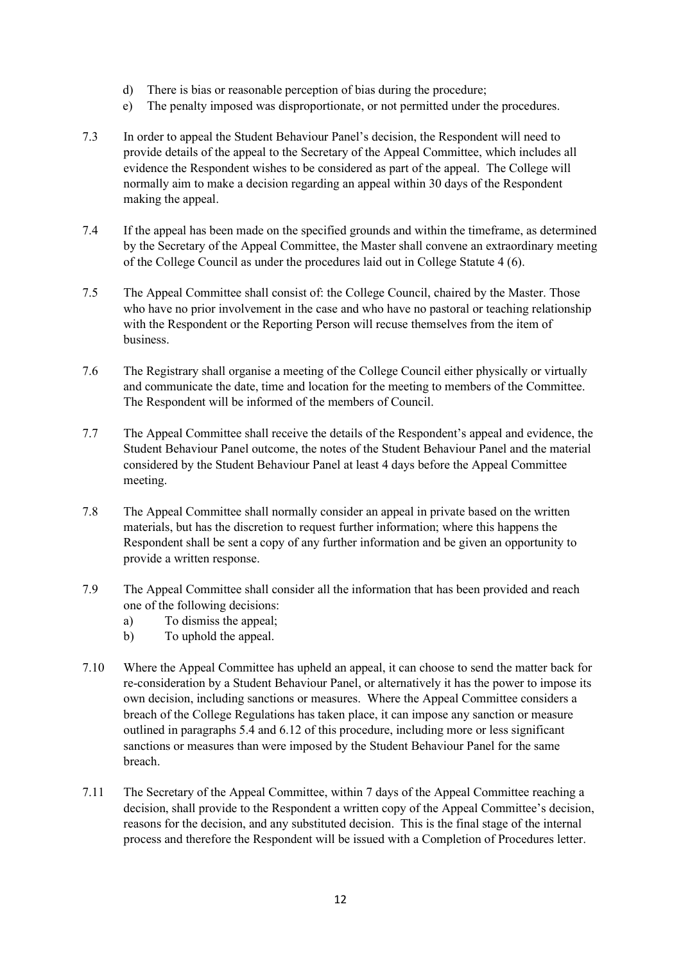- d) There is bias or reasonable perception of bias during the procedure;
- e) The penalty imposed was disproportionate, or not permitted under the procedures.
- 7.3 In order to appeal the Student Behaviour Panel's decision, the Respondent will need to provide details of the appeal to the Secretary of the Appeal Committee, which includes all evidence the Respondent wishes to be considered as part of the appeal. The College will normally aim to make a decision regarding an appeal within 30 days of the Respondent making the appeal.
- 7.4 If the appeal has been made on the specified grounds and within the timeframe, as determined by the Secretary of the Appeal Committee, the Master shall convene an extraordinary meeting of the College Council as under the procedures laid out in College Statute 4 (6).
- 7.5 The Appeal Committee shall consist of: the College Council, chaired by the Master. Those who have no prior involvement in the case and who have no pastoral or teaching relationship with the Respondent or the Reporting Person will recuse themselves from the item of business.
- 7.6 The Registrary shall organise a meeting of the College Council either physically or virtually and communicate the date, time and location for the meeting to members of the Committee. The Respondent will be informed of the members of Council.
- 7.7 The Appeal Committee shall receive the details of the Respondent's appeal and evidence, the Student Behaviour Panel outcome, the notes of the Student Behaviour Panel and the material considered by the Student Behaviour Panel at least 4 days before the Appeal Committee meeting.
- 7.8 The Appeal Committee shall normally consider an appeal in private based on the written materials, but has the discretion to request further information; where this happens the Respondent shall be sent a copy of any further information and be given an opportunity to provide a written response.
- 7.9 The Appeal Committee shall consider all the information that has been provided and reach one of the following decisions:
	- a) To dismiss the appeal;
	- b) To uphold the appeal.
- 7.10 Where the Appeal Committee has upheld an appeal, it can choose to send the matter back for re-consideration by a Student Behaviour Panel, or alternatively it has the power to impose its own decision, including sanctions or measures. Where the Appeal Committee considers a breach of the College Regulations has taken place, it can impose any sanction or measure outlined in paragraphs 5.4 and 6.12 of this procedure, including more or less significant sanctions or measures than were imposed by the Student Behaviour Panel for the same breach.
- 7.11 The Secretary of the Appeal Committee, within 7 days of the Appeal Committee reaching a decision, shall provide to the Respondent a written copy of the Appeal Committee's decision, reasons for the decision, and any substituted decision. This is the final stage of the internal process and therefore the Respondent will be issued with a Completion of Procedures letter.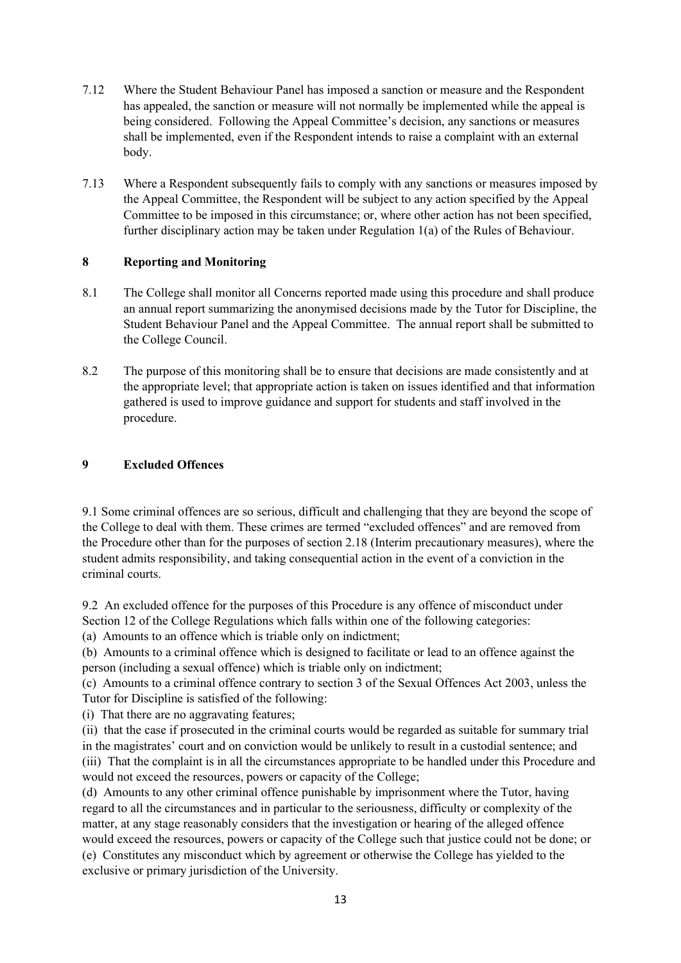- 7.12 Where the Student Behaviour Panel has imposed a sanction or measure and the Respondent has appealed, the sanction or measure will not normally be implemented while the appeal is being considered. Following the Appeal Committee's decision, any sanctions or measures shall be implemented, even if the Respondent intends to raise a complaint with an external body.
- 7.13 Where a Respondent subsequently fails to comply with any sanctions or measures imposed by the Appeal Committee, the Respondent will be subject to any action specified by the Appeal Committee to be imposed in this circumstance; or, where other action has not been specified, further disciplinary action may be taken under Regulation 1(a) of the Rules of Behaviour.

#### **8 Reporting and Monitoring**

- 8.1 The College shall monitor all Concerns reported made using this procedure and shall produce an annual report summarizing the anonymised decisions made by the Tutor for Discipline, the Student Behaviour Panel and the Appeal Committee. The annual report shall be submitted to the College Council.
- 8.2 The purpose of this monitoring shall be to ensure that decisions are made consistently and at the appropriate level; that appropriate action is taken on issues identified and that information gathered is used to improve guidance and support for students and staff involved in the procedure.

#### **9 Excluded Offences**

9.1 Some criminal offences are so serious, difficult and challenging that they are beyond the scope of the College to deal with them. These crimes are termed "excluded offences" and are removed from the Procedure other than for the purposes of section 2.18 (Interim precautionary measures), where the student admits responsibility, and taking consequential action in the event of a conviction in the criminal courts.

9.2 An excluded offence for the purposes of this Procedure is any offence of misconduct under Section 12 of the College Regulations which falls within one of the following categories: (a) Amounts to an offence which is triable only on indictment;

(b) Amounts to a criminal offence which is designed to facilitate or lead to an offence against the person (including a sexual offence) which is triable only on indictment;

(c) Amounts to a criminal offence contrary to section 3 of the Sexual Offences Act 2003, unless the Tutor for Discipline is satisfied of the following:

(i) That there are no aggravating features;

(ii) that the case if prosecuted in the criminal courts would be regarded as suitable for summary trial in the magistrates' court and on conviction would be unlikely to result in a custodial sentence; and (iii) That the complaint is in all the circumstances appropriate to be handled under this Procedure and would not exceed the resources, powers or capacity of the College;

(d) Amounts to any other criminal offence punishable by imprisonment where the Tutor, having regard to all the circumstances and in particular to the seriousness, difficulty or complexity of the matter, at any stage reasonably considers that the investigation or hearing of the alleged offence would exceed the resources, powers or capacity of the College such that justice could not be done; or (e) Constitutes any misconduct which by agreement or otherwise the College has yielded to the exclusive or primary jurisdiction of the University.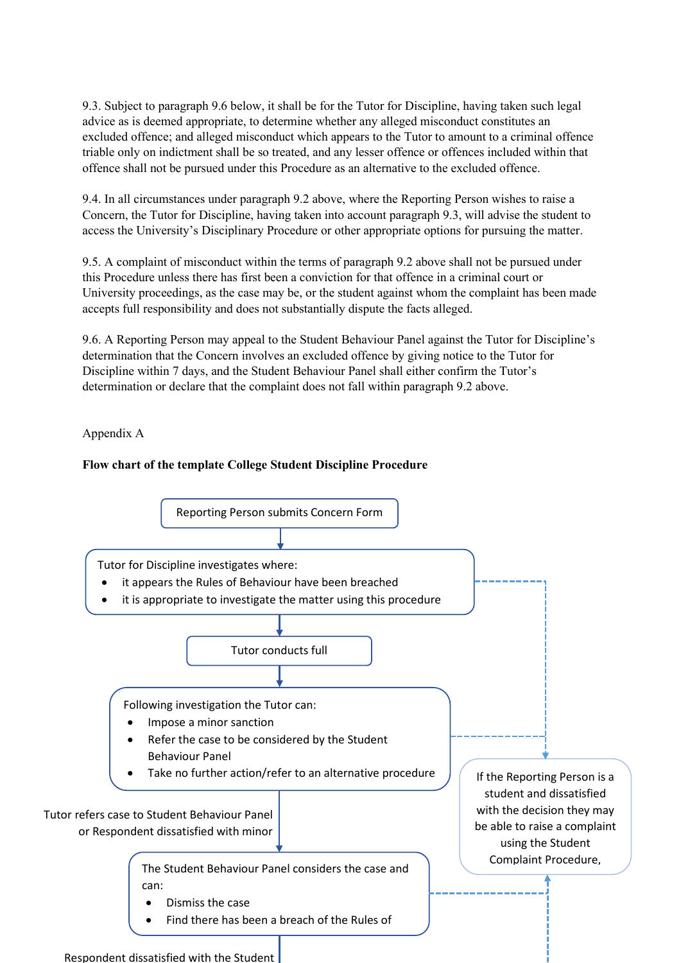9.3. Subject to paragraph 9.6 below, it shall be for the Tutor for Discipline, having taken such legal advice as is deemed appropriate, to determine whether any alleged misconduct constitutes an excluded offence; and alleged misconduct which appears to the Tutor to amount to a criminal offence triable only on indictment shall be so treated, and any lesser offence or offences included within that offence shall not be pursued under this Procedure as an alternative to the excluded offence.

9.4. In all circumstances under paragraph 9.2 above, where the Reporting Person wishes to raise a Concern, the Tutor for Discipline, having taken into account paragraph 9.3, will advise the student to access the University's Disciplinary Procedure or other appropriate options for pursuing the matter.

9.5. A complaint of misconduct within the terms of paragraph 9.2 above shall not be pursued under this Procedure unless there has first been a conviction for that offence in a criminal court or University proceedings, as the case may be, or the student against whom the complaint has been made accepts full responsibility and does not substantially dispute the facts alleged.

9.6. A Reporting Person may appeal to the Student Behaviour Panel against the Tutor for Discipline's determination that the Concern involves an excluded offence by giving notice to the Tutor for Discipline within 7 days, and the Student Behaviour Panel shall either confirm the Tutor's determination or declare that the complaint does not fall within paragraph 9.2 above.

Appendix A

## **Flow chart of the template College Student Discipline Procedure**